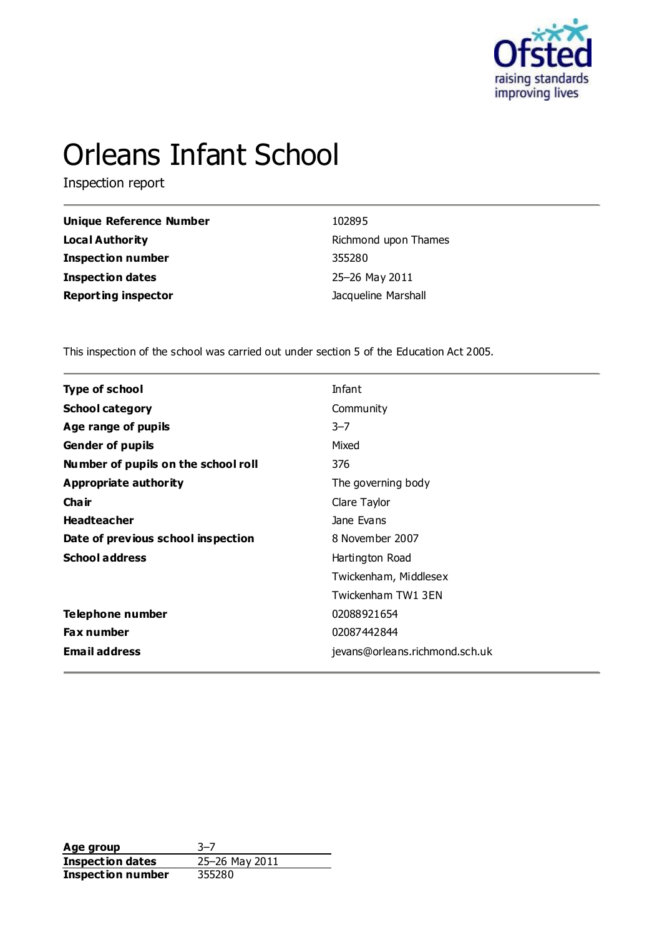

# Orleans Infant School

Inspection report

| <b>Unique Reference Number</b> | 102895               |
|--------------------------------|----------------------|
| <b>Local Authority</b>         | Richmond upon Thames |
| <b>Inspection number</b>       | 355280               |
| <b>Inspection dates</b>        | 25-26 May 2011       |
| <b>Reporting inspector</b>     | Jacqueline Marshall  |

This inspection of the school was carried out under section 5 of the Education Act 2005.

| <b>Type of school</b>               | Infant                         |
|-------------------------------------|--------------------------------|
| <b>School category</b>              | Community                      |
| Age range of pupils                 | $3 - 7$                        |
| <b>Gender of pupils</b>             | Mixed                          |
| Number of pupils on the school roll | 376                            |
| Appropriate authority               | The governing body             |
| Cha ir                              | Clare Taylor                   |
| <b>Headteacher</b>                  | Jane Evans                     |
| Date of previous school inspection  | 8 November 2007                |
| <b>School address</b>               | Hartington Road                |
|                                     | Twickenham, Middlesex          |
|                                     | Twickenham TW1 3EN             |
| Telephone number                    | 02088921654                    |
| <b>Fax number</b>                   | 02087442844                    |
| <b>Email address</b>                | jevans@orleans.richmond.sch.uk |
|                                     |                                |

**Age group** 3–7<br> **Inspection dates** 25–26 May 2011 **Inspection dates** 25–26 May 2011 **Inspection number** 355280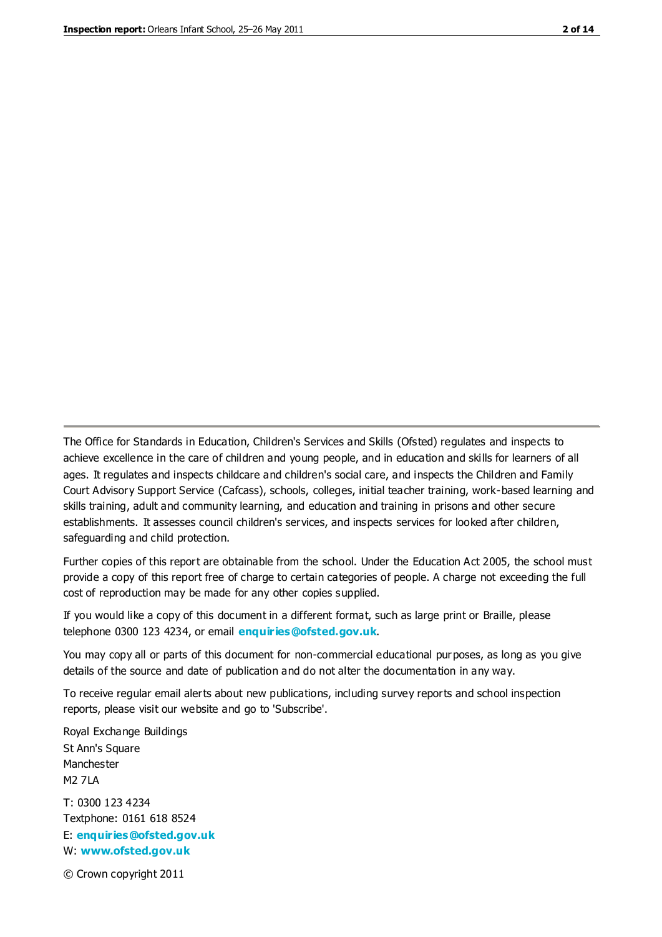The Office for Standards in Education, Children's Services and Skills (Ofsted) regulates and inspects to achieve excellence in the care of children and young people, and in education and skills for learners of all ages. It regulates and inspects childcare and children's social care, and inspects the Children and Family Court Advisory Support Service (Cafcass), schools, colleges, initial teacher training, work-based learning and skills training, adult and community learning, and education and training in prisons and other secure establishments. It assesses council children's services, and inspects services for looked after children, safeguarding and child protection.

Further copies of this report are obtainable from the school. Under the Education Act 2005, the school must provide a copy of this report free of charge to certain categories of people. A charge not exceeding the full cost of reproduction may be made for any other copies supplied.

If you would like a copy of this document in a different format, such as large print or Braille, please telephone 0300 123 4234, or email **[enquiries@ofsted.gov.uk](mailto:enquiries@ofsted.gov.uk)**.

You may copy all or parts of this document for non-commercial educational purposes, as long as you give details of the source and date of publication and do not alter the documentation in any way.

To receive regular email alerts about new publications, including survey reports and school inspection reports, please visit our website and go to 'Subscribe'.

Royal Exchange Buildings St Ann's Square Manchester M2 7LA T: 0300 123 4234 Textphone: 0161 618 8524 E: **[enquiries@ofsted.gov.uk](mailto:enquiries@ofsted.gov.uk)**

W: **[www.ofsted.gov.uk](http://www.ofsted.gov.uk/)**

© Crown copyright 2011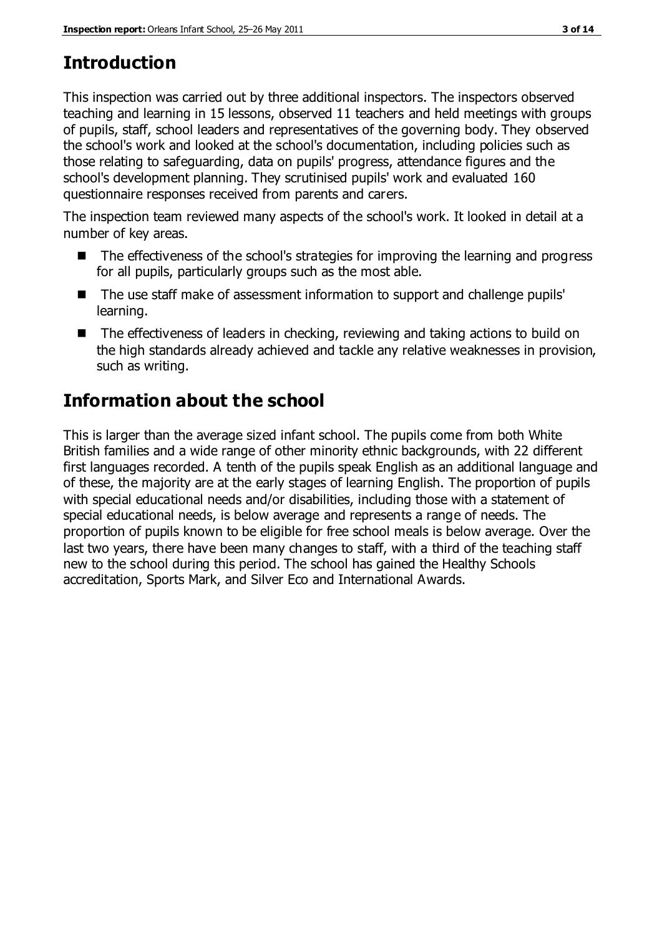## **Introduction**

This inspection was carried out by three additional inspectors. The inspectors observed teaching and learning in 15 lessons, observed 11 teachers and held meetings with groups of pupils, staff, school leaders and representatives of the governing body. They observed the school's work and looked at the school's documentation, including policies such as those relating to safeguarding, data on pupils' progress, attendance figures and the school's development planning. They scrutinised pupils' work and evaluated 160 questionnaire responses received from parents and carers.

The inspection team reviewed many aspects of the school's work. It looked in detail at a number of key areas.

- The effectiveness of the school's strategies for improving the learning and progress for all pupils, particularly groups such as the most able.
- The use staff make of assessment information to support and challenge pupils' learning.
- The effectiveness of leaders in checking, reviewing and taking actions to build on the high standards already achieved and tackle any relative weaknesses in provision, such as writing.

## **Information about the school**

This is larger than the average sized infant school. The pupils come from both White British families and a wide range of other minority ethnic backgrounds, with 22 different first languages recorded. A tenth of the pupils speak English as an additional language and of these, the majority are at the early stages of learning English. The proportion of pupils with special educational needs and/or disabilities, including those with a statement of special educational needs, is below average and represents a range of needs. The proportion of pupils known to be eligible for free school meals is below average. Over the last two years, there have been many changes to staff, with a third of the teaching staff new to the school during this period. The school has gained the Healthy Schools accreditation, Sports Mark, and Silver Eco and International Awards.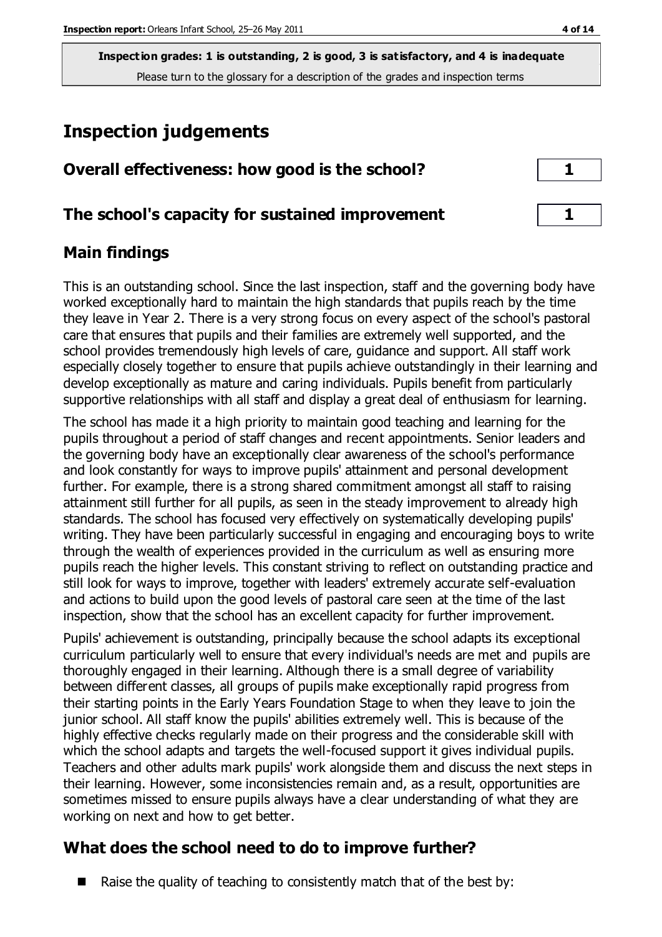## **Inspection judgements**

| Overall effectiveness: how good is the school?  |  |
|-------------------------------------------------|--|
|                                                 |  |
| The school's capacity for sustained improvement |  |

## **Main findings**

This is an outstanding school. Since the last inspection, staff and the governing body have worked exceptionally hard to maintain the high standards that pupils reach by the time they leave in Year 2. There is a very strong focus on every aspect of the school's pastoral care that ensures that pupils and their families are extremely well supported, and the school provides tremendously high levels of care, guidance and support. All staff work especially closely together to ensure that pupils achieve outstandingly in their learning and develop exceptionally as mature and caring individuals. Pupils benefit from particularly supportive relationships with all staff and display a great deal of enthusiasm for learning.

The school has made it a high priority to maintain good teaching and learning for the pupils throughout a period of staff changes and recent appointments. Senior leaders and the governing body have an exceptionally clear awareness of the school's performance and look constantly for ways to improve pupils' attainment and personal development further. For example, there is a strong shared commitment amongst all staff to raising attainment still further for all pupils, as seen in the steady improvement to already high standards. The school has focused very effectively on systematically developing pupils' writing. They have been particularly successful in engaging and encouraging boys to write through the wealth of experiences provided in the curriculum as well as ensuring more pupils reach the higher levels. This constant striving to reflect on outstanding practice and still look for ways to improve, together with leaders' extremely accurate self-evaluation and actions to build upon the good levels of pastoral care seen at the time of the last inspection, show that the school has an excellent capacity for further improvement.

Pupils' achievement is outstanding, principally because the school adapts its exceptional curriculum particularly well to ensure that every individual's needs are met and pupils are thoroughly engaged in their learning. Although there is a small degree of variability between different classes, all groups of pupils make exceptionally rapid progress from their starting points in the Early Years Foundation Stage to when they leave to join the junior school. All staff know the pupils' abilities extremely well. This is because of the highly effective checks regularly made on their progress and the considerable skill with which the school adapts and targets the well-focused support it gives individual pupils. Teachers and other adults mark pupils' work alongside them and discuss the next steps in their learning. However, some inconsistencies remain and, as a result, opportunities are sometimes missed to ensure pupils always have a clear understanding of what they are working on next and how to get better.

## **What does the school need to do to improve further?**

Raise the quality of teaching to consistently match that of the best by: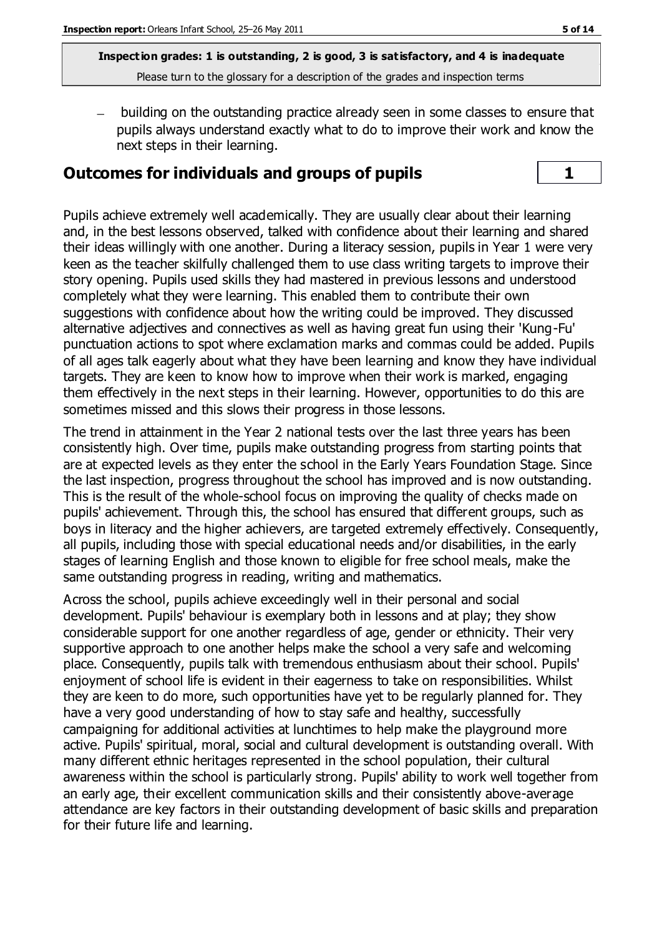building on the outstanding practice already seen in some classes to ensure that pupils always understand exactly what to do to improve their work and know the next steps in their learning.

### **Outcomes for individuals and groups of pupils 1**

Pupils achieve extremely well academically. They are usually clear about their learning and, in the best lessons observed, talked with confidence about their learning and shared their ideas willingly with one another. During a literacy session, pupils in Year 1 were very keen as the teacher skilfully challenged them to use class writing targets to improve their story opening. Pupils used skills they had mastered in previous lessons and understood completely what they were learning. This enabled them to contribute their own suggestions with confidence about how the writing could be improved. They discussed alternative adjectives and connectives as well as having great fun using their 'Kung-Fu' punctuation actions to spot where exclamation marks and commas could be added. Pupils of all ages talk eagerly about what they have been learning and know they have individual targets. They are keen to know how to improve when their work is marked, engaging them effectively in the next steps in their learning. However, opportunities to do this are sometimes missed and this slows their progress in those lessons.

The trend in attainment in the Year 2 national tests over the last three years has been consistently high. Over time, pupils make outstanding progress from starting points that are at expected levels as they enter the school in the Early Years Foundation Stage. Since the last inspection, progress throughout the school has improved and is now outstanding. This is the result of the whole-school focus on improving the quality of checks made on pupils' achievement. Through this, the school has ensured that different groups, such as boys in literacy and the higher achievers, are targeted extremely effectively. Consequently, all pupils, including those with special educational needs and/or disabilities, in the early stages of learning English and those known to eligible for free school meals, make the same outstanding progress in reading, writing and mathematics.

Across the school, pupils achieve exceedingly well in their personal and social development. Pupils' behaviour is exemplary both in lessons and at play; they show considerable support for one another regardless of age, gender or ethnicity. Their very supportive approach to one another helps make the school a very safe and welcoming place. Consequently, pupils talk with tremendous enthusiasm about their school. Pupils' enjoyment of school life is evident in their eagerness to take on responsibilities. Whilst they are keen to do more, such opportunities have yet to be regularly planned for. They have a very good understanding of how to stay safe and healthy, successfully campaigning for additional activities at lunchtimes to help make the playground more active. Pupils' spiritual, moral, social and cultural development is outstanding overall. With many different ethnic heritages represented in the school population, their cultural awareness within the school is particularly strong. Pupils' ability to work well together from an early age, their excellent communication skills and their consistently above-average attendance are key factors in their outstanding development of basic skills and preparation for their future life and learning.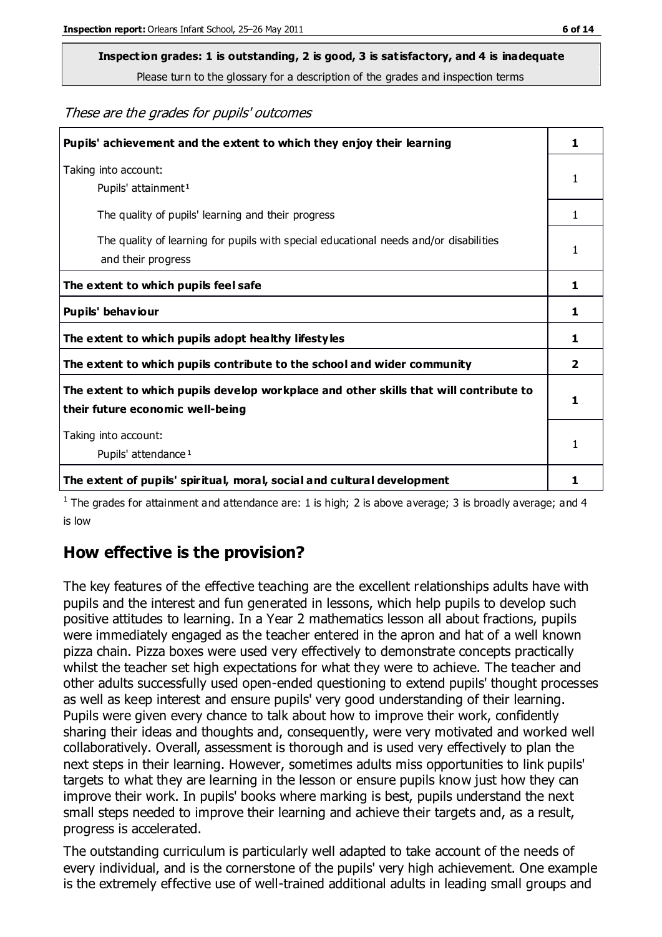## **Inspection grades: 1 is outstanding, 2 is good, 3 is satisfactory, and 4 is inadequate**

Please turn to the glossary for a description of the grades and inspection terms

These are the grades for pupils' outcomes

| Pupils' achievement and the extent to which they enjoy their learning                                                     | 1              |
|---------------------------------------------------------------------------------------------------------------------------|----------------|
| Taking into account:<br>Pupils' attainment <sup>1</sup>                                                                   | 1              |
| The quality of pupils' learning and their progress                                                                        | $\mathbf{1}$   |
| The quality of learning for pupils with special educational needs and/or disabilities<br>and their progress               | 1              |
| The extent to which pupils feel safe                                                                                      | 1              |
| Pupils' behaviour                                                                                                         | 1              |
| The extent to which pupils adopt healthy lifestyles                                                                       | 1              |
| The extent to which pupils contribute to the school and wider community                                                   | $\overline{2}$ |
| The extent to which pupils develop workplace and other skills that will contribute to<br>their future economic well-being | 1              |
| Taking into account:<br>Pupils' attendance <sup>1</sup>                                                                   | 1              |
| The extent of pupils' spiritual, moral, social and cultural development                                                   |                |

<sup>1</sup> The grades for attainment and attendance are: 1 is high; 2 is above average; 3 is broadly average; and 4 is low

## **How effective is the provision?**

The key features of the effective teaching are the excellent relationships adults have with pupils and the interest and fun generated in lessons, which help pupils to develop such positive attitudes to learning. In a Year 2 mathematics lesson all about fractions, pupils were immediately engaged as the teacher entered in the apron and hat of a well known pizza chain. Pizza boxes were used very effectively to demonstrate concepts practically whilst the teacher set high expectations for what they were to achieve. The teacher and other adults successfully used open-ended questioning to extend pupils' thought processes as well as keep interest and ensure pupils' very good understanding of their learning. Pupils were given every chance to talk about how to improve their work, confidently sharing their ideas and thoughts and, consequently, were very motivated and worked well collaboratively. Overall, assessment is thorough and is used very effectively to plan the next steps in their learning. However, sometimes adults miss opportunities to link pupils' targets to what they are learning in the lesson or ensure pupils know just how they can improve their work. In pupils' books where marking is best, pupils understand the next small steps needed to improve their learning and achieve their targets and, as a result, progress is accelerated.

The outstanding curriculum is particularly well adapted to take account of the needs of every individual, and is the cornerstone of the pupils' very high achievement. One example is the extremely effective use of well-trained additional adults in leading small groups and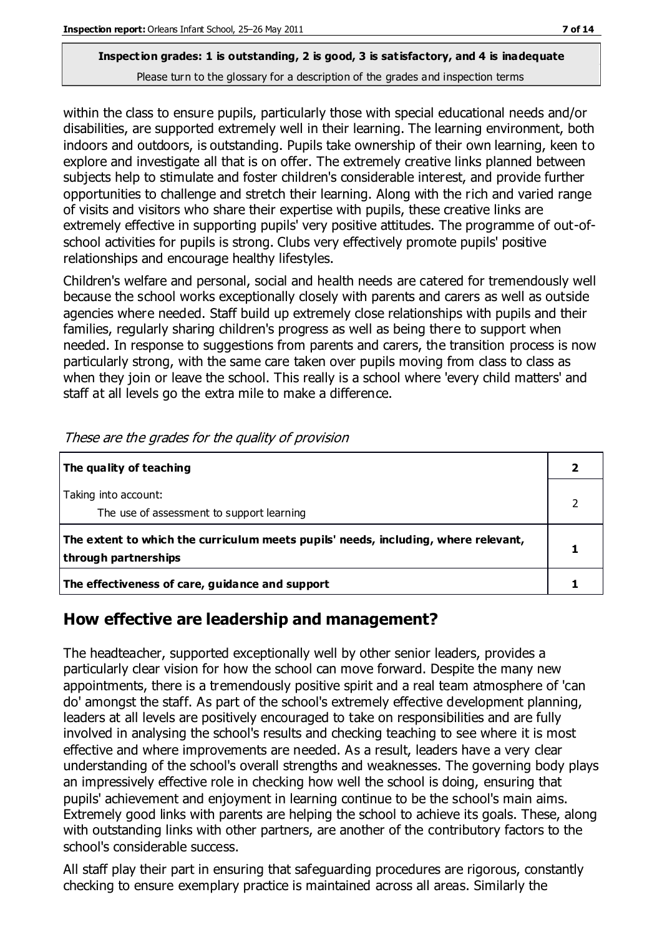within the class to ensure pupils, particularly those with special educational needs and/or disabilities, are supported extremely well in their learning. The learning environment, both indoors and outdoors, is outstanding. Pupils take ownership of their own learning, keen to explore and investigate all that is on offer. The extremely creative links planned between subjects help to stimulate and foster children's considerable interest, and provide further opportunities to challenge and stretch their learning. Along with the rich and varied range of visits and visitors who share their expertise with pupils, these creative links are extremely effective in supporting pupils' very positive attitudes. The programme of out-ofschool activities for pupils is strong. Clubs very effectively promote pupils' positive relationships and encourage healthy lifestyles.

Children's welfare and personal, social and health needs are catered for tremendously well because the school works exceptionally closely with parents and carers as well as outside agencies where needed. Staff build up extremely close relationships with pupils and their families, regularly sharing children's progress as well as being there to support when needed. In response to suggestions from parents and carers, the transition process is now particularly strong, with the same care taken over pupils moving from class to class as when they join or leave the school. This really is a school where 'every child matters' and staff at all levels go the extra mile to make a difference.

| The quality of teaching                                                                                    |  |
|------------------------------------------------------------------------------------------------------------|--|
| Taking into account:<br>The use of assessment to support learning                                          |  |
| The extent to which the curriculum meets pupils' needs, including, where relevant,<br>through partnerships |  |
| The effectiveness of care, guidance and support                                                            |  |

These are the grades for the quality of provision

## **How effective are leadership and management?**

The headteacher, supported exceptionally well by other senior leaders, provides a particularly clear vision for how the school can move forward. Despite the many new appointments, there is a tremendously positive spirit and a real team atmosphere of 'can do' amongst the staff. As part of the school's extremely effective development planning, leaders at all levels are positively encouraged to take on responsibilities and are fully involved in analysing the school's results and checking teaching to see where it is most effective and where improvements are needed. As a result, leaders have a very clear understanding of the school's overall strengths and weaknesses. The governing body plays an impressively effective role in checking how well the school is doing, ensuring that pupils' achievement and enjoyment in learning continue to be the school's main aims. Extremely good links with parents are helping the school to achieve its goals. These, along with outstanding links with other partners, are another of the contributory factors to the school's considerable success.

All staff play their part in ensuring that safeguarding procedures are rigorous, constantly checking to ensure exemplary practice is maintained across all areas. Similarly the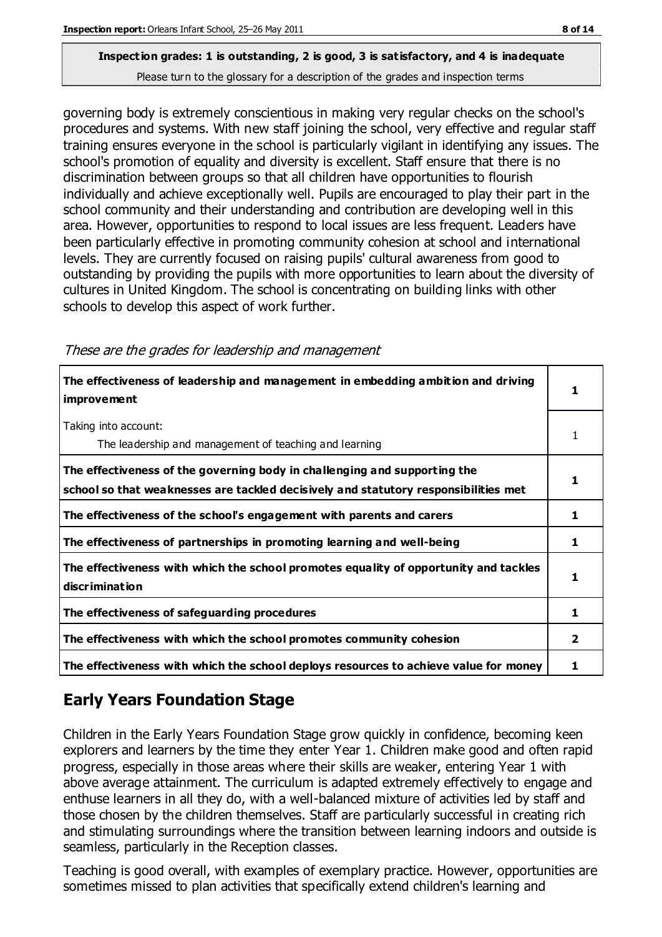## **Inspection grades: 1 is outstanding, 2 is good, 3 is satisfactory, and 4 is inadequate**

Please turn to the glossary for a description of the grades and inspection terms

governing body is extremely conscientious in making very regular checks on the school's procedures and systems. With new staff joining the school, very effective and regular staff training ensures everyone in the school is particularly vigilant in identifying any issues. The school's promotion of equality and diversity is excellent. Staff ensure that there is no discrimination between groups so that all children have opportunities to flourish individually and achieve exceptionally well. Pupils are encouraged to play their part in the school community and their understanding and contribution are developing well in this area. However, opportunities to respond to local issues are less frequent. Leaders have been particularly effective in promoting community cohesion at school and international levels. They are currently focused on raising pupils' cultural awareness from good to outstanding by providing the pupils with more opportunities to learn about the diversity of cultures in United Kingdom. The school is concentrating on building links with other schools to develop this aspect of work further.

| The effectiveness of leadership and management in embedding ambition and driving<br>improvement                                                                  |    |
|------------------------------------------------------------------------------------------------------------------------------------------------------------------|----|
| Taking into account:<br>The leadership and management of teaching and learning                                                                                   |    |
| The effectiveness of the governing body in challenging and supporting the<br>school so that weaknesses are tackled decisively and statutory responsibilities met |    |
| The effectiveness of the school's engagement with parents and carers                                                                                             | 1. |
| The effectiveness of partnerships in promoting learning and well-being                                                                                           | 1  |
| The effectiveness with which the school promotes equality of opportunity and tackles<br>discrimination                                                           |    |
| The effectiveness of safeguarding procedures                                                                                                                     | 1. |
| The effectiveness with which the school promotes community cohesion                                                                                              | 2  |
| The effectiveness with which the school deploys resources to achieve value for money                                                                             |    |

These are the grades for leadership and management

## **Early Years Foundation Stage**

Children in the Early Years Foundation Stage grow quickly in confidence, becoming keen explorers and learners by the time they enter Year 1. Children make good and often rapid progress, especially in those areas where their skills are weaker, entering Year 1 with above average attainment. The curriculum is adapted extremely effectively to engage and enthuse learners in all they do, with a well-balanced mixture of activities led by staff and those chosen by the children themselves. Staff are particularly successful in creating rich and stimulating surroundings where the transition between learning indoors and outside is seamless, particularly in the Reception classes.

Teaching is good overall, with examples of exemplary practice. However, opportunities are sometimes missed to plan activities that specifically extend children's learning and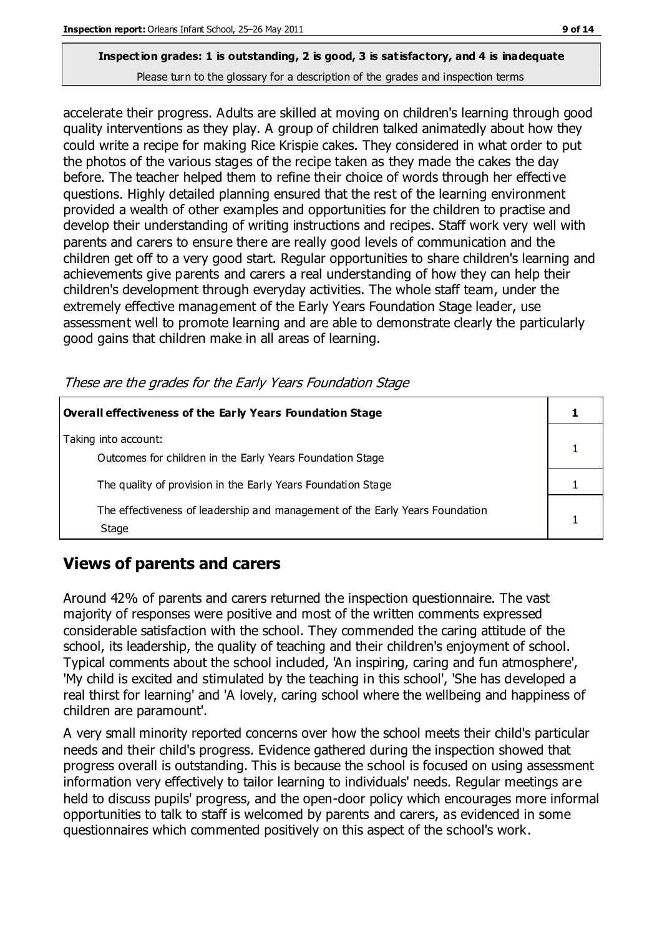accelerate their progress. Adults are skilled at moving on children's learning through good quality interventions as they play. A group of children talked animatedly about how they could write a recipe for making Rice Krispie cakes. They considered in what order to put the photos of the various stages of the recipe taken as they made the cakes the day before. The teacher helped them to refine their choice of words through her effective questions. Highly detailed planning ensured that the rest of the learning environment provided a wealth of other examples and opportunities for the children to practise and develop their understanding of writing instructions and recipes. Staff work very well with parents and carers to ensure there are really good levels of communication and the children get off to a very good start. Regular opportunities to share children's learning and achievements give parents and carers a real understanding of how they can help their children's development through everyday activities. The whole staff team, under the extremely effective management of the Early Years Foundation Stage leader, use assessment well to promote learning and are able to demonstrate clearly the particularly good gains that children make in all areas of learning.

| These are the grades for the Early Years Foundation Stage |  |  |
|-----------------------------------------------------------|--|--|
|-----------------------------------------------------------|--|--|

| Overall effectiveness of the Early Years Foundation Stage                             |  |
|---------------------------------------------------------------------------------------|--|
| Taking into account:<br>Outcomes for children in the Early Years Foundation Stage     |  |
| The quality of provision in the Early Years Foundation Stage                          |  |
| The effectiveness of leadership and management of the Early Years Foundation<br>Stage |  |

## **Views of parents and carers**

Around 42% of parents and carers returned the inspection questionnaire. The vast majority of responses were positive and most of the written comments expressed considerable satisfaction with the school. They commended the caring attitude of the school, its leadership, the quality of teaching and their children's enjoyment of school. Typical comments about the school included, 'An inspiring, caring and fun atmosphere', 'My child is excited and stimulated by the teaching in this school', 'She has developed a real thirst for learning' and 'A lovely, caring school where the wellbeing and happiness of children are paramount'.

A very small minority reported concerns over how the school meets their child's particular needs and their child's progress. Evidence gathered during the inspection showed that progress overall is outstanding. This is because the school is focused on using assessment information very effectively to tailor learning to individuals' needs. Regular meetings are held to discuss pupils' progress, and the open-door policy which encourages more informal opportunities to talk to staff is welcomed by parents and carers, as evidenced in some questionnaires which commented positively on this aspect of the school's work.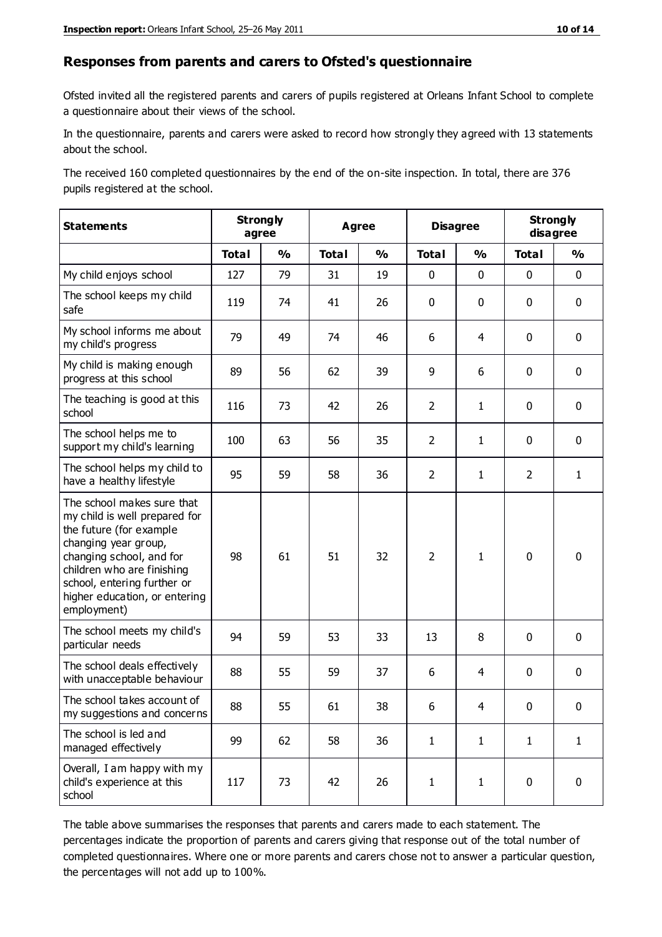#### **Responses from parents and carers to Ofsted's questionnaire**

Ofsted invited all the registered parents and carers of pupils registered at Orleans Infant School to complete a questionnaire about their views of the school.

In the questionnaire, parents and carers were asked to record how strongly they agreed with 13 statements about the school.

The received 160 completed questionnaires by the end of the on-site inspection. In total, there are 376 pupils registered at the school.

| <b>Statements</b>                                                                                                                                                                                                                                       | <b>Strongly</b><br>agree |               | <b>Agree</b> |               | <b>Disagree</b> |                | <b>Strongly</b><br>disagree |               |
|---------------------------------------------------------------------------------------------------------------------------------------------------------------------------------------------------------------------------------------------------------|--------------------------|---------------|--------------|---------------|-----------------|----------------|-----------------------------|---------------|
|                                                                                                                                                                                                                                                         | <b>Total</b>             | $\frac{1}{2}$ | <b>Total</b> | $\frac{1}{2}$ | <b>Total</b>    | $\frac{1}{2}$  | <b>Total</b>                | $\frac{1}{2}$ |
| My child enjoys school                                                                                                                                                                                                                                  | 127                      | 79            | 31           | 19            | 0               | $\mathbf 0$    | $\mathbf 0$                 | $\mathbf 0$   |
| The school keeps my child<br>safe                                                                                                                                                                                                                       | 119                      | 74            | 41           | 26            | 0               | $\mathbf 0$    | $\mathbf 0$                 | $\mathbf 0$   |
| My school informs me about<br>my child's progress                                                                                                                                                                                                       | 79                       | 49            | 74           | 46            | 6               | 4              | $\mathbf 0$                 | $\mathbf 0$   |
| My child is making enough<br>progress at this school                                                                                                                                                                                                    | 89                       | 56            | 62           | 39            | 9               | 6              | $\mathbf 0$                 | $\mathbf 0$   |
| The teaching is good at this<br>school                                                                                                                                                                                                                  | 116                      | 73            | 42           | 26            | $\overline{2}$  | $\mathbf{1}$   | $\mathbf 0$                 | $\mathbf 0$   |
| The school helps me to<br>support my child's learning                                                                                                                                                                                                   | 100                      | 63            | 56           | 35            | $\overline{2}$  | 1              | $\mathbf 0$                 | $\mathbf 0$   |
| The school helps my child to<br>have a healthy lifestyle                                                                                                                                                                                                | 95                       | 59            | 58           | 36            | $\overline{2}$  | $\mathbf{1}$   | $\overline{2}$              | $\mathbf{1}$  |
| The school makes sure that<br>my child is well prepared for<br>the future (for example<br>changing year group,<br>changing school, and for<br>children who are finishing<br>school, entering further or<br>higher education, or entering<br>employment) | 98                       | 61            | 51           | 32            | $\overline{2}$  | $\mathbf{1}$   | $\mathbf 0$                 | $\mathbf 0$   |
| The school meets my child's<br>particular needs                                                                                                                                                                                                         | 94                       | 59            | 53           | 33            | 13              | 8              | $\mathbf 0$                 | $\mathbf 0$   |
| The school deals effectively<br>with unacceptable behaviour                                                                                                                                                                                             | 88                       | 55            | 59           | 37            | 6               | $\overline{4}$ | $\mathbf 0$                 | $\pmb{0}$     |
| The school takes account of<br>my suggestions and concerns                                                                                                                                                                                              | 88                       | 55            | 61           | 38            | 6               | 4              | $\Omega$                    | 0             |
| The school is led and<br>managed effectively                                                                                                                                                                                                            | 99                       | 62            | 58           | 36            | $\mathbf{1}$    | $\mathbf{1}$   | $\mathbf{1}$                | $\mathbf{1}$  |
| Overall, I am happy with my<br>child's experience at this<br>school                                                                                                                                                                                     | 117                      | 73            | 42           | 26            | $\mathbf{1}$    | $\mathbf{1}$   | $\pmb{0}$                   | $\pmb{0}$     |

The table above summarises the responses that parents and carers made to each statement. The percentages indicate the proportion of parents and carers giving that response out of the total number of completed questionnaires. Where one or more parents and carers chose not to answer a particular question, the percentages will not add up to 100%.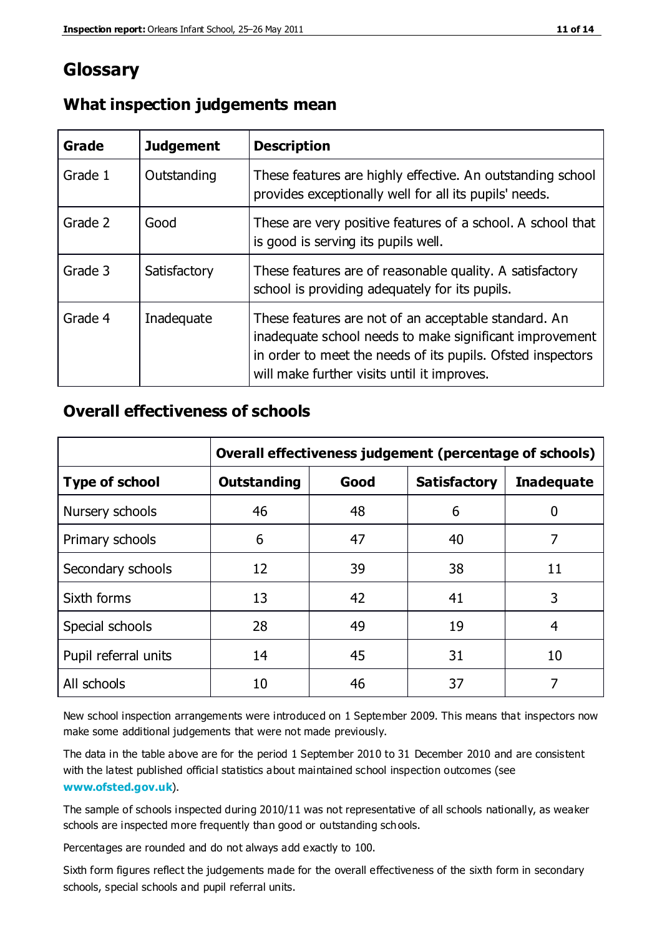## **Glossary**

| Grade   | <b>Judgement</b> | <b>Description</b>                                                                                                                                                                                                            |
|---------|------------------|-------------------------------------------------------------------------------------------------------------------------------------------------------------------------------------------------------------------------------|
| Grade 1 | Outstanding      | These features are highly effective. An outstanding school<br>provides exceptionally well for all its pupils' needs.                                                                                                          |
| Grade 2 | Good             | These are very positive features of a school. A school that<br>is good is serving its pupils well.                                                                                                                            |
| Grade 3 | Satisfactory     | These features are of reasonable quality. A satisfactory<br>school is providing adequately for its pupils.                                                                                                                    |
| Grade 4 | Inadequate       | These features are not of an acceptable standard. An<br>inadequate school needs to make significant improvement<br>in order to meet the needs of its pupils. Ofsted inspectors<br>will make further visits until it improves. |

#### **What inspection judgements mean**

#### **Overall effectiveness of schools**

|                       | Overall effectiveness judgement (percentage of schools) |      |                     |                   |
|-----------------------|---------------------------------------------------------|------|---------------------|-------------------|
| <b>Type of school</b> | <b>Outstanding</b>                                      | Good | <b>Satisfactory</b> | <b>Inadequate</b> |
| Nursery schools       | 46                                                      | 48   | 6                   |                   |
| Primary schools       | 6                                                       | 47   | 40                  | 7                 |
| Secondary schools     | 12                                                      | 39   | 38                  | 11                |
| Sixth forms           | 13                                                      | 42   | 41                  | 3                 |
| Special schools       | 28                                                      | 49   | 19                  | 4                 |
| Pupil referral units  | 14                                                      | 45   | 31                  | 10                |
| All schools           | 10                                                      | 46   | 37                  |                   |

New school inspection arrangements were introduced on 1 September 2009. This means that inspectors now make some additional judgements that were not made previously.

The data in the table above are for the period 1 September 2010 to 31 December 2010 and are consistent with the latest published official statistics about maintained school inspection outcomes (see **[www.ofsted.gov.uk](http://www.ofsted.gov.uk/)**).

The sample of schools inspected during 2010/11 was not representative of all schools nationally, as weaker schools are inspected more frequently than good or outstanding schools.

Percentages are rounded and do not always add exactly to 100.

Sixth form figures reflect the judgements made for the overall effectiveness of the sixth form in secondary schools, special schools and pupil referral units.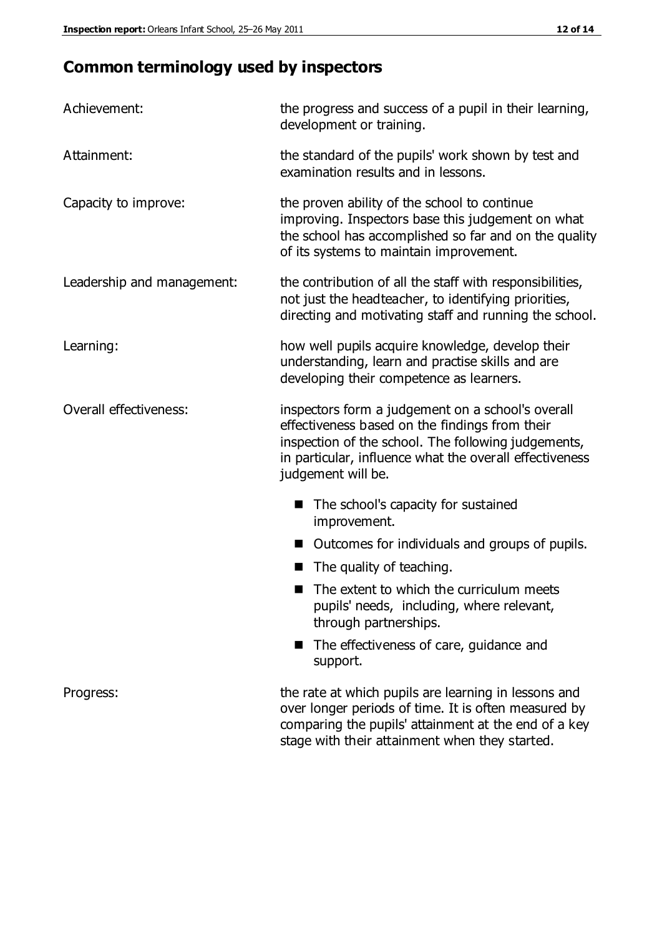## **Common terminology used by inspectors**

| Achievement:               | the progress and success of a pupil in their learning,<br>development or training.                                                                                                                                                          |
|----------------------------|---------------------------------------------------------------------------------------------------------------------------------------------------------------------------------------------------------------------------------------------|
| Attainment:                | the standard of the pupils' work shown by test and<br>examination results and in lessons.                                                                                                                                                   |
| Capacity to improve:       | the proven ability of the school to continue<br>improving. Inspectors base this judgement on what<br>the school has accomplished so far and on the quality<br>of its systems to maintain improvement.                                       |
| Leadership and management: | the contribution of all the staff with responsibilities,<br>not just the headteacher, to identifying priorities,<br>directing and motivating staff and running the school.                                                                  |
| Learning:                  | how well pupils acquire knowledge, develop their<br>understanding, learn and practise skills and are<br>developing their competence as learners.                                                                                            |
| Overall effectiveness:     | inspectors form a judgement on a school's overall<br>effectiveness based on the findings from their<br>inspection of the school. The following judgements,<br>in particular, influence what the overall effectiveness<br>judgement will be. |
|                            | The school's capacity for sustained<br>improvement.                                                                                                                                                                                         |
|                            | Outcomes for individuals and groups of pupils.                                                                                                                                                                                              |
|                            | The quality of teaching.                                                                                                                                                                                                                    |
|                            | The extent to which the curriculum meets<br>pupils' needs, including, where relevant,<br>through partnerships.                                                                                                                              |
|                            | The effectiveness of care, guidance and<br>support.                                                                                                                                                                                         |
| Progress:                  | the rate at which pupils are learning in lessons and<br>over longer periods of time. It is often measured by<br>comparing the pupils' attainment at the end of a key                                                                        |

stage with their attainment when they started.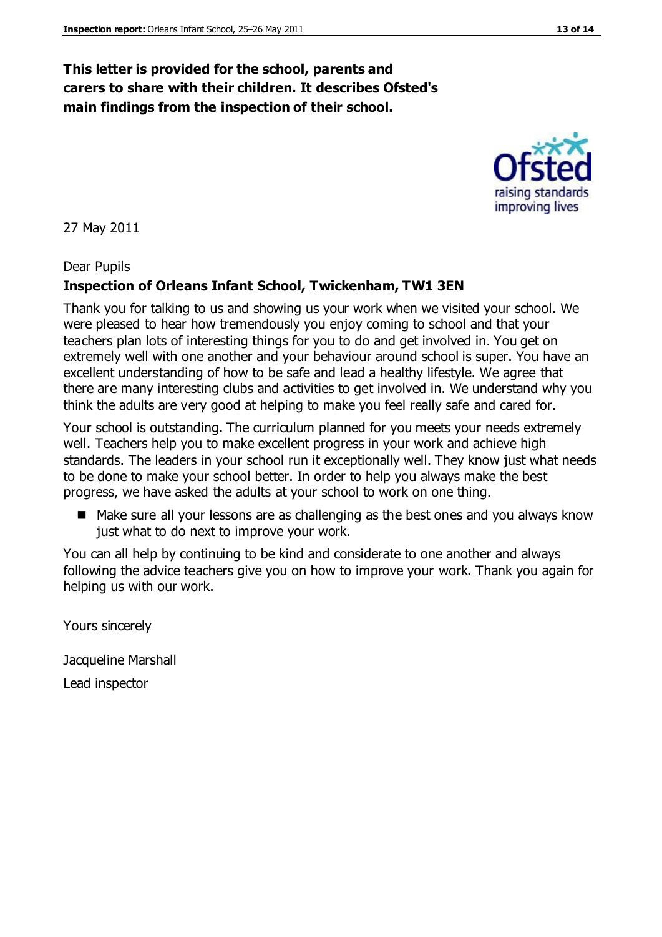### **This letter is provided for the school, parents and carers to share with their children. It describes Ofsted's main findings from the inspection of their school.**

27 May 2011

#### Dear Pupils

#### **Inspection of Orleans Infant School, Twickenham, TW1 3EN**

Thank you for talking to us and showing us your work when we visited your school. We were pleased to hear how tremendously you enjoy coming to school and that your teachers plan lots of interesting things for you to do and get involved in. You get on extremely well with one another and your behaviour around school is super. You have an excellent understanding of how to be safe and lead a healthy lifestyle. We agree that there are many interesting clubs and activities to get involved in. We understand why you think the adults are very good at helping to make you feel really safe and cared for.

Your school is outstanding. The curriculum planned for you meets your needs extremely well. Teachers help you to make excellent progress in your work and achieve high standards. The leaders in your school run it exceptionally well. They know just what needs to be done to make your school better. In order to help you always make the best progress, we have asked the adults at your school to work on one thing.

■ Make sure all your lessons are as challenging as the best ones and you always know just what to do next to improve your work.

You can all help by continuing to be kind and considerate to one another and always following the advice teachers give you on how to improve your work. Thank you again for helping us with our work.

Yours sincerely

Jacqueline Marshall

Lead inspector